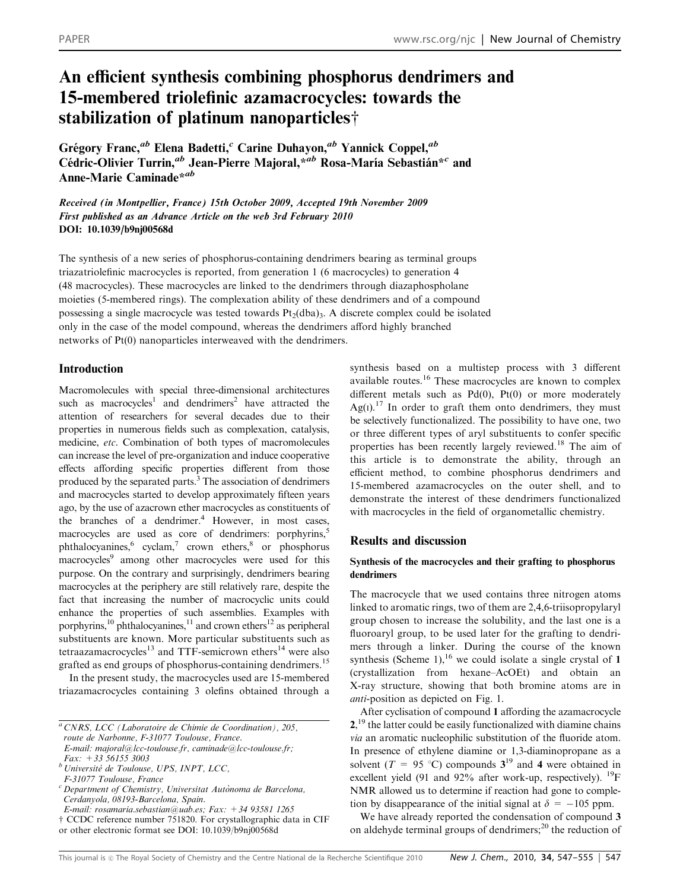# An efficient synthesis combining phosphorus dendrimers and 15-membered triolefinic azamacrocycles: towards the stabilization of platinum nanoparticles<sup>†</sup>

Grégory Franc,<sup>ab</sup> Elena Badetti,<sup>c</sup> Carine Duhayon,<sup>ab</sup> Yannick Coppel,<sup>ab</sup> Cédric-Olivier Turrin,<sup>ab</sup> Jean-Pierre Majoral, $*^{ab}$  Rosa-María Sebastián $*^{c}$  and Anne-Marie Caminade\*<sup>ab</sup>

Received (in Montpellier, France) 15th October 2009, Accepted 19th November 2009 First published as an Advance Article on the web 3rd February 2010 DOI: 10.1039/b9nj00568d

The synthesis of a new series of phosphorus-containing dendrimers bearing as terminal groups triazatriolefinic macrocycles is reported, from generation 1 (6 macrocycles) to generation 4 (48 macrocycles). These macrocycles are linked to the dendrimers through diazaphospholane moieties (5-membered rings). The complexation ability of these dendrimers and of a compound possessing a single macrocycle was tested towards  $Pt<sub>2</sub>(dba)<sub>3</sub>$ . A discrete complex could be isolated only in the case of the model compound, whereas the dendrimers afford highly branched networks of Pt(0) nanoparticles interweaved with the dendrimers.

# Introduction

Macromolecules with special three-dimensional architectures such as macrocycles<sup>1</sup> and dendrimers<sup>2</sup> have attracted the attention of researchers for several decades due to their properties in numerous fields such as complexation, catalysis, medicine, etc. Combination of both types of macromolecules can increase the level of pre-organization and induce cooperative effects affording specific properties different from those produced by the separated parts.3 The association of dendrimers and macrocycles started to develop approximately fifteen years ago, by the use of azacrown ether macrocycles as constituents of the branches of a dendrimer.<sup>4</sup> However, in most cases, macrocycles are used as core of dendrimers: porphyrins,<sup>5</sup> phthalocyanines,<sup>6</sup> cyclam,<sup>7</sup> crown ethers,<sup>8</sup> or phosphorus macrocycles<sup>9</sup> among other macrocycles were used for this purpose. On the contrary and surprisingly, dendrimers bearing macrocycles at the periphery are still relatively rare, despite the fact that increasing the number of macrocyclic units could enhance the properties of such assemblies. Examples with porphyrins,<sup>10</sup> phthalocyanines,<sup>11</sup> and crown ethers<sup>12</sup> as peripheral substituents are known. More particular substituents such as tetraazamacrocycles<sup>13</sup> and TTF-semicrown ethers<sup>14</sup> were also grafted as end groups of phosphorus-containing dendrimers.<sup>15</sup>

In the present study, the macrocycles used are 15-membered triazamacrocycles containing 3 olefins obtained through a synthesis based on a multistep process with 3 different available routes.<sup>16</sup> These macrocycles are known to complex different metals such as  $Pd(0)$ ,  $Pf(0)$  or more moderately Ag(I).<sup>17</sup> In order to graft them onto dendrimers, they must be selectively functionalized. The possibility to have one, two or three different types of aryl substituents to confer specific properties has been recently largely reviewed.<sup>18</sup> The aim of this article is to demonstrate the ability, through an efficient method, to combine phosphorus dendrimers and 15-membered azamacrocycles on the outer shell, and to demonstrate the interest of these dendrimers functionalized with macrocycles in the field of organometallic chemistry.

# Results and discussion

# Synthesis of the macrocycles and their grafting to phosphorus dendrimers

The macrocycle that we used contains three nitrogen atoms linked to aromatic rings, two of them are 2,4,6-triisopropylaryl group chosen to increase the solubility, and the last one is a fluoroaryl group, to be used later for the grafting to dendrimers through a linker. During the course of the known synthesis (Scheme 1),<sup>16</sup> we could isolate a single crystal of 1 (crystallization from hexane–AcOEt) and obtain an X-ray structure, showing that both bromine atoms are in anti-position as depicted on Fig. 1.

After cyclisation of compound 1 affording the azamacrocycle 2,<sup>19</sup> the latter could be easily functionalized with diamine chains via an aromatic nucleophilic substitution of the fluoride atom. In presence of ethylene diamine or 1,3-diaminopropane as a solvent ( $T = 95$  °C) compounds  $3^{19}$  and 4 were obtained in excellent yield (91 and 92% after work-up, respectively). <sup>19</sup>F NMR allowed us to determine if reaction had gone to completion by disappearance of the initial signal at  $\delta = -105$  ppm.

We have already reported the condensation of compound 3 on aldehyde terminal groups of dendrimers;<sup>20</sup> the reduction of

<sup>a</sup> CNRS, LCC (Laboratoire de Chimie de Coordination), 205, route de Narbonne, F-31077 Toulouse, France.  $E$ -mail: majoral@lcc-toulouse.fr, caminade@lcc-toulouse.fr;

Fax: +33 56155 3003  $b$  Université de Toulouse, UPS, INPT, LCC,

F-31077 Toulouse, France

 $c$  Department of Chemistry, Universitat Autònoma de Barcelona, Cerdanyola, 08193-Barcelona, Spain.

E-mail: rosamaria.sebastian@uab.es; Fax: +34 93581 1265

 $\dagger$  CCDC reference number 751820. For crystallographic data in CIF or other electronic format see DOI: 10.1039/b9nj00568d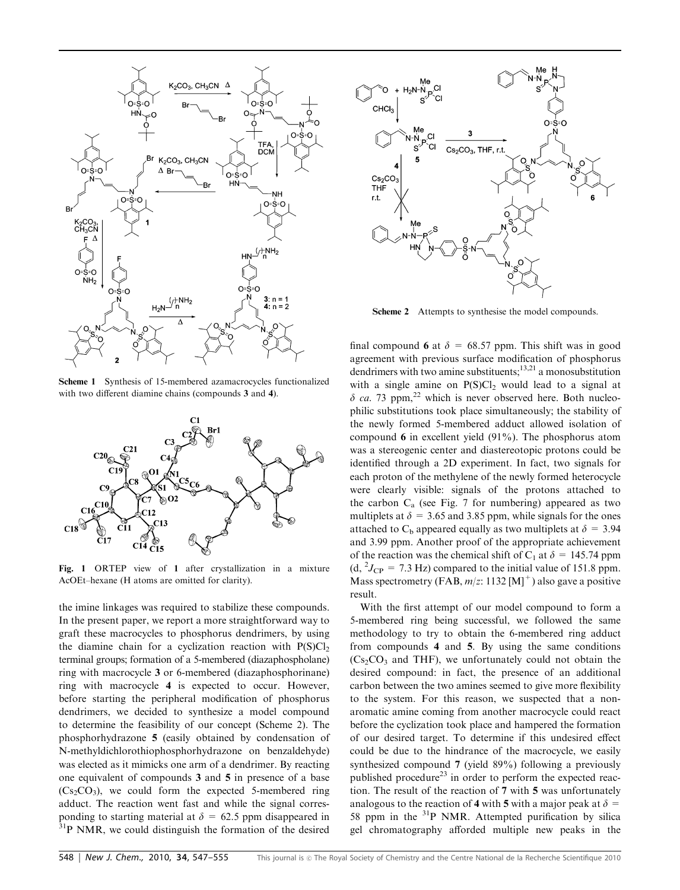

Scheme 1 Synthesis of 15-membered azamacrocycles functionalized with two different diamine chains (compounds 3 and 4).



Fig. 1 ORTEP view of 1 after crystallization in a mixture AcOEt–hexane (H atoms are omitted for clarity).

the imine linkages was required to stabilize these compounds. In the present paper, we report a more straightforward way to graft these macrocycles to phosphorus dendrimers, by using the diamine chain for a cyclization reaction with  $P(S)Cl<sub>2</sub>$ terminal groups; formation of a 5-membered (diazaphospholane) ring with macrocycle 3 or 6-membered (diazaphosphorinane) ring with macrocycle 4 is expected to occur. However, before starting the peripheral modification of phosphorus dendrimers, we decided to synthesize a model compound to determine the feasibility of our concept (Scheme 2). The phosphorhydrazone 5 (easily obtained by condensation of N-methyldichlorothiophosphorhydrazone on benzaldehyde) was elected as it mimicks one arm of a dendrimer. By reacting one equivalent of compounds 3 and 5 in presence of a base  $(Cs_2CO_3)$ , we could form the expected 5-membered ring adduct. The reaction went fast and while the signal corresponding to starting material at  $\delta = 62.5$  ppm disappeared in <sup>31</sup>P NMR, we could distinguish the formation of the desired



Scheme 2 Attempts to synthesise the model compounds.

final compound 6 at  $\delta = 68.57$  ppm. This shift was in good agreement with previous surface modification of phosphorus dendrimers with two amine substituents; $13,21$  a monosubstitution with a single amine on  $P(S)Cl_2$  would lead to a signal at  $\delta$  ca. 73 ppm,<sup>22</sup> which is never observed here. Both nucleophilic substitutions took place simultaneously; the stability of the newly formed 5-membered adduct allowed isolation of compound 6 in excellent yield (91%). The phosphorus atom was a stereogenic center and diastereotopic protons could be identified through a 2D experiment. In fact, two signals for each proton of the methylene of the newly formed heterocycle were clearly visible: signals of the protons attached to the carbon  $C_a$  (see Fig. 7 for numbering) appeared as two multiplets at  $\delta = 3.65$  and 3.85 ppm, while signals for the ones attached to  $C_b$  appeared equally as two multiplets at  $\delta = 3.94$ and 3.99 ppm. Another proof of the appropriate achievement of the reaction was the chemical shift of C<sub>1</sub> at  $\delta = 145.74$  ppm  $(d, {}^{2}J_{CP} = 7.3 \text{ Hz})$  compared to the initial value of 151.8 ppm. Mass spectrometry (FAB,  $m/z$ : 1132 [M]<sup>+</sup>) also gave a positive result.

With the first attempt of our model compound to form a 5-membered ring being successful, we followed the same methodology to try to obtain the 6-membered ring adduct from compounds 4 and 5. By using the same conditions  $(Cs<sub>2</sub>CO<sub>3</sub>$  and THF), we unfortunately could not obtain the desired compound: in fact, the presence of an additional carbon between the two amines seemed to give more flexibility to the system. For this reason, we suspected that a nonaromatic amine coming from another macrocycle could react before the cyclization took place and hampered the formation of our desired target. To determine if this undesired effect could be due to the hindrance of the macrocycle, we easily synthesized compound 7 (yield 89%) following a previously published procedure<sup>23</sup> in order to perform the expected reaction. The result of the reaction of 7 with 5 was unfortunately analogous to the reaction of 4 with 5 with a major peak at  $\delta$  = 58 ppm in the  $3^{1}P$  NMR. Attempted purification by silica gel chromatography afforded multiple new peaks in the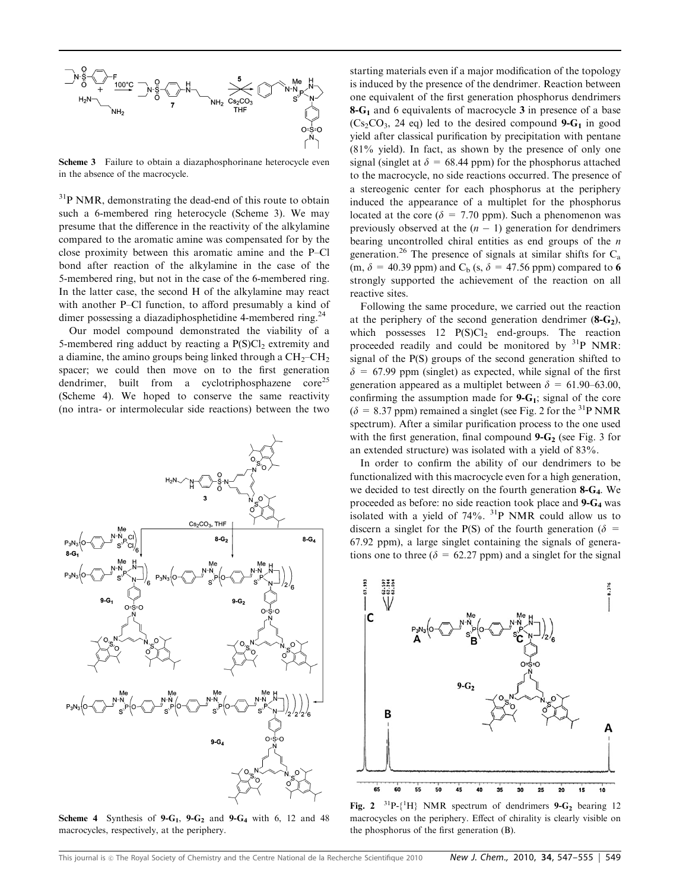

Scheme 3 Failure to obtain a diazaphosphorinane heterocycle even in the absence of the macrocycle.

<sup>31</sup>P NMR, demonstrating the dead-end of this route to obtain such a 6-membered ring heterocycle (Scheme 3). We may presume that the difference in the reactivity of the alkylamine compared to the aromatic amine was compensated for by the close proximity between this aromatic amine and the P–Cl bond after reaction of the alkylamine in the case of the 5-membered ring, but not in the case of the 6-membered ring. In the latter case, the second H of the alkylamine may react with another P–Cl function, to afford presumably a kind of dimer possessing a diazadiphosphetidine 4-membered ring.<sup>24</sup>

Our model compound demonstrated the viability of a 5-membered ring adduct by reacting a  $P(S)Cl<sub>2</sub>$  extremity and a diamine, the amino groups being linked through a  $CH<sub>2</sub>-CH<sub>2</sub>$ spacer; we could then move on to the first generation dendrimer, built from a cyclotriphosphazene  $\text{core}^{25}$ (Scheme 4). We hoped to conserve the same reactivity (no intra- or intermolecular side reactions) between the two



Scheme 4 Synthesis of  $9-G_1$ ,  $9-G_2$  and  $9-G_4$  with 6, 12 and 48 macrocycles, respectively, at the periphery.

starting materials even if a major modification of the topology is induced by the presence of the dendrimer. Reaction between one equivalent of the first generation phosphorus dendrimers  $8-G<sub>1</sub>$  and 6 equivalents of macrocycle 3 in presence of a base  $(Cs_2CO_3, 24 \text{ eq})$  led to the desired compound **9-G<sub>1</sub>** in good yield after classical purification by precipitation with pentane (81% yield). In fact, as shown by the presence of only one signal (singlet at  $\delta = 68.44$  ppm) for the phosphorus attached to the macrocycle, no side reactions occurred. The presence of a stereogenic center for each phosphorus at the periphery induced the appearance of a multiplet for the phosphorus located at the core ( $\delta = 7.70$  ppm). Such a phenomenon was previously observed at the  $(n - 1)$  generation for dendrimers bearing uncontrolled chiral entities as end groups of the n generation.<sup>26</sup> The presence of signals at similar shifts for  $C_a$ (m,  $\delta$  = 40.39 ppm) and C<sub>b</sub> (s,  $\delta$  = 47.56 ppm) compared to 6 strongly supported the achievement of the reaction on all reactive sites.

Following the same procedure, we carried out the reaction at the periphery of the second generation dendrimer  $(8-G_2)$ , which possesses  $12 \text{ P(S)Cl}_2$  end-groups. The reaction proceeded readily and could be monitored by  $31P$  NMR: signal of the P(S) groups of the second generation shifted to  $\delta$  = 67.99 ppm (singlet) as expected, while signal of the first generation appeared as a multiplet between  $\delta = 61.90-63.00$ , confirming the assumption made for  $9 - G_1$ ; signal of the core  $(\delta = 8.37$  ppm) remained a singlet (see Fig. 2 for the <sup>31</sup>P NMR spectrum). After a similar purification process to the one used with the first generation, final compound  $9 - G_2$  (see Fig. 3 for an extended structure) was isolated with a yield of 83%.

In order to confirm the ability of our dendrimers to be functionalized with this macrocycle even for a high generation, we decided to test directly on the fourth generation 8-G4. We proceeded as before: no side reaction took place and 9-G4 was isolated with a yield of  $74\%$ .  $^{31}P$  NMR could allow us to discern a singlet for the P(S) of the fourth generation ( $\delta$  = 67.92 ppm), a large singlet containing the signals of generations one to three ( $\delta = 62.27$  ppm) and a singlet for the signal



Fig. 2  $^{31}P\{-{^1H}\}$  NMR spectrum of dendrimers 9-G<sub>2</sub> bearing 12 macrocycles on the periphery. Effect of chirality is clearly visible on the phosphorus of the first generation (B).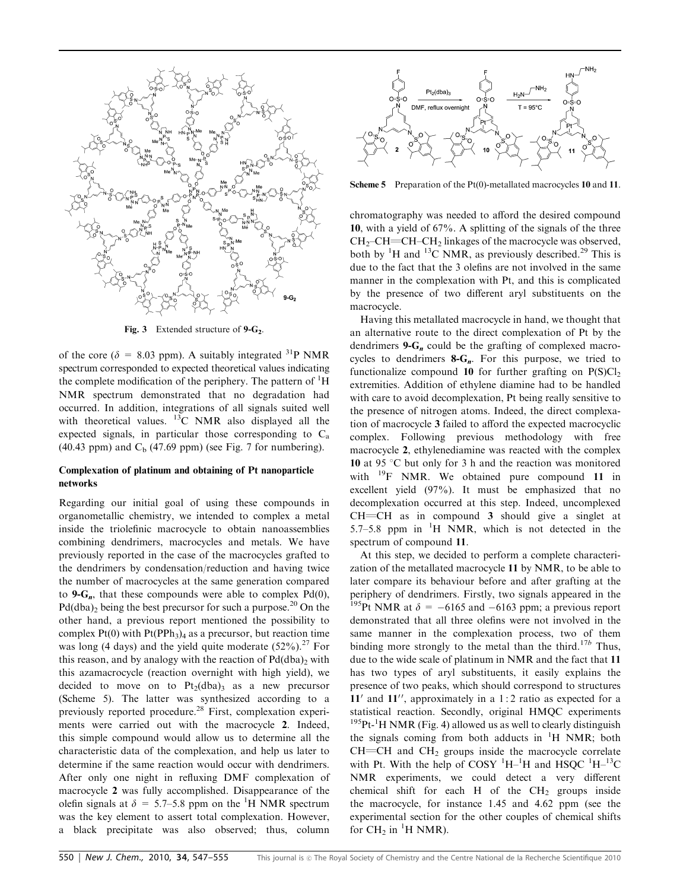

Fig. 3 Extended structure of  $9-G_2$ .

of the core ( $\delta = 8.03$  ppm). A suitably integrated <sup>31</sup>P NMR spectrum corresponded to expected theoretical values indicating the complete modification of the periphery. The pattern of <sup>1</sup>H NMR spectrum demonstrated that no degradation had occurred. In addition, integrations of all signals suited well with theoretical values.  $^{13}$ C NMR also displayed all the expected signals, in particular those corresponding to  $C_a$ (40.43 ppm) and  $C<sub>b</sub>$  (47.69 ppm) (see Fig. 7 for numbering).

#### Complexation of platinum and obtaining of Pt nanoparticle networks

Regarding our initial goal of using these compounds in organometallic chemistry, we intended to complex a metal inside the triolefinic macrocycle to obtain nanoassemblies combining dendrimers, macrocycles and metals. We have previously reported in the case of the macrocycles grafted to the dendrimers by condensation/reduction and having twice the number of macrocycles at the same generation compared to  $9-G_n$ , that these compounds were able to complex Pd(0),  $Pd(dba)$  being the best precursor for such a purpose.<sup>20</sup> On the other hand, a previous report mentioned the possibility to complex  $Pt(0)$  with  $Pt(PPh<sub>3</sub>)<sub>4</sub>$  as a precursor, but reaction time was long (4 days) and the yield quite moderate  $(52\%)$ .<sup>27</sup> For this reason, and by analogy with the reaction of  $Pd(dba)<sub>2</sub>$  with this azamacrocycle (reaction overnight with high yield), we decided to move on to  $Pt<sub>2</sub>(dba)$ <sub>3</sub> as a new precursor (Scheme 5). The latter was synthesized according to a previously reported procedure.<sup>28</sup> First, complexation experiments were carried out with the macrocycle 2. Indeed, this simple compound would allow us to determine all the characteristic data of the complexation, and help us later to determine if the same reaction would occur with dendrimers. After only one night in refluxing DMF complexation of macrocycle 2 was fully accomplished. Disappearance of the olefin signals at  $\delta = 5.7{\text -}5.8$  ppm on the <sup>1</sup>H NMR spectrum was the key element to assert total complexation. However, a black precipitate was also observed; thus, column



Scheme 5 Preparation of the Pt(0)-metallated macrocycles 10 and 11.

chromatography was needed to afford the desired compound 10, with a yield of 67%. A splitting of the signals of the three  $CH_2$ –CH=CH–CH<sub>2</sub> linkages of the macrocycle was observed, both by  ${}^{1}$ H and  ${}^{13}$ C NMR, as previously described.<sup>29</sup> This is due to the fact that the 3 olefins are not involved in the same manner in the complexation with Pt, and this is complicated by the presence of two different aryl substituents on the macrocycle.

Having this metallated macrocycle in hand, we thought that an alternative route to the direct complexation of Pt by the dendrimers  $9 - G_n$  could be the grafting of complexed macrocycles to dendrimers  $8-G_n$ . For this purpose, we tried to functionalize compound 10 for further grafting on  $P(S)Cl_2$ extremities. Addition of ethylene diamine had to be handled with care to avoid decomplexation, Pt being really sensitive to the presence of nitrogen atoms. Indeed, the direct complexation of macrocycle 3 failed to afford the expected macrocyclic complex. Following previous methodology with free macrocycle 2, ethylenediamine was reacted with the complex 10 at 95  $\degree$ C but only for 3 h and the reaction was monitored with <sup>19</sup>F NMR. We obtained pure compound 11 in excellent yield (97%). It must be emphasized that no decomplexation occurred at this step. Indeed, uncomplexed  $CH=CH$  as in compound 3 should give a singlet at 5.7–5.8 ppm in  ${}^{1}H$  NMR, which is not detected in the spectrum of compound 11.

At this step, we decided to perform a complete characterization of the metallated macrocycle 11 by NMR, to be able to later compare its behaviour before and after grafting at the periphery of dendrimers. Firstly, two signals appeared in the <sup>195</sup>Pt NMR at  $\delta$  = -6165 and -6163 ppm; a previous report demonstrated that all three olefins were not involved in the same manner in the complexation process, two of them binding more strongly to the metal than the third.<sup>17b</sup> Thus, due to the wide scale of platinum in NMR and the fact that 11 has two types of aryl substituents, it easily explains the presence of two peaks, which should correspond to structures  $11'$  and  $11''$ , approximately in a 1:2 ratio as expected for a statistical reaction. Secondly, original HMQC experiments  $195$ Pt-<sup>1</sup>H NMR (Fig. 4) allowed us as well to clearly distinguish the signals coming from both adducts in  ${}^{1}H$  NMR; both  $CH=CH$  and  $CH<sub>2</sub>$  groups inside the macrocycle correlate with Pt. With the help of  $\text{COSY } ^1\text{H}^{-1}\text{H}$  and  $\text{HSQC } ^1\text{H}^{-13}\text{C}$ NMR experiments, we could detect a very different chemical shift for each H of the  $CH<sub>2</sub>$  groups inside the macrocycle, for instance 1.45 and 4.62 ppm (see the experimental section for the other couples of chemical shifts for  $CH_2$  in <sup>1</sup>H NMR).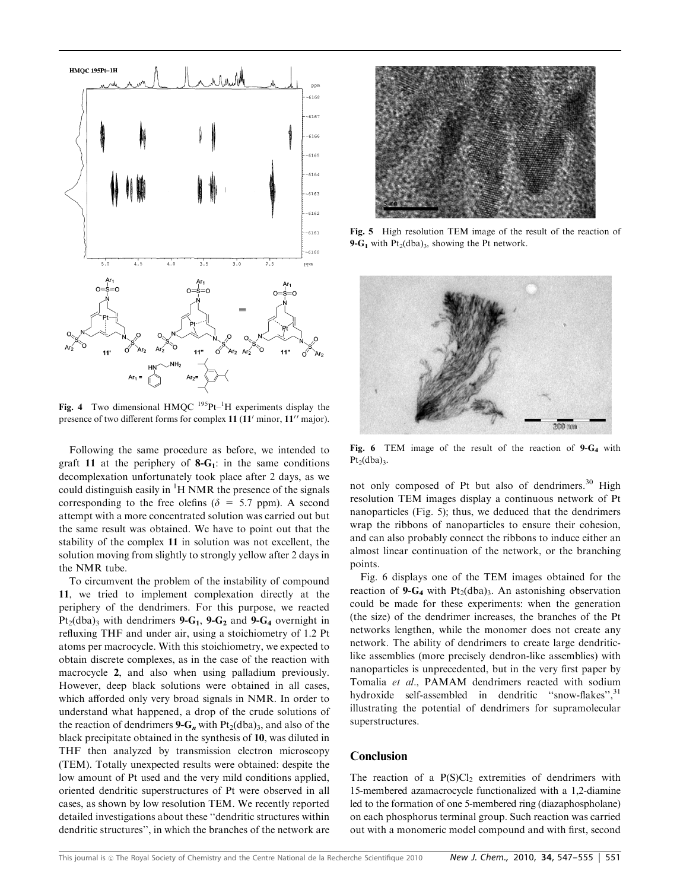

Fig. 4 Two dimensional HMQC  $^{195}$ Pt- $^{1}$ H experiments display the presence of two different forms for complex  $11$  ( $11'$  minor,  $11''$  major).

Following the same procedure as before, we intended to graft 11 at the periphery of  $8-G_1$ : in the same conditions decomplexation unfortunately took place after 2 days, as we could distinguish easily in  ${}^{1}H$  NMR the presence of the signals corresponding to the free olefins ( $\delta = 5.7$  ppm). A second attempt with a more concentrated solution was carried out but the same result was obtained. We have to point out that the stability of the complex 11 in solution was not excellent, the solution moving from slightly to strongly yellow after 2 days in the NMR tube.

To circumvent the problem of the instability of compound 11, we tried to implement complexation directly at the periphery of the dendrimers. For this purpose, we reacted  $Pt_2(dba)_3$  with dendrimers 9- $G_1$ , 9- $G_2$  and 9- $G_4$  overnight in refluxing THF and under air, using a stoichiometry of 1.2 Pt atoms per macrocycle. With this stoichiometry, we expected to obtain discrete complexes, as in the case of the reaction with macrocycle 2, and also when using palladium previously. However, deep black solutions were obtained in all cases, which afforded only very broad signals in NMR. In order to understand what happened, a drop of the crude solutions of the reaction of dendrimers 9- $G_n$  with Pt<sub>2</sub>(dba)<sub>3</sub>, and also of the black precipitate obtained in the synthesis of 10, was diluted in THF then analyzed by transmission electron microscopy (TEM). Totally unexpected results were obtained: despite the low amount of Pt used and the very mild conditions applied, oriented dendritic superstructures of Pt were observed in all cases, as shown by low resolution TEM. We recently reported detailed investigations about these ''dendritic structures within dendritic structures'', in which the branches of the network are



Fig. 5 High resolution TEM image of the result of the reaction of 9- $G_1$  with Pt<sub>2</sub>(dba)<sub>3</sub>, showing the Pt network.



Fig. 6 TEM image of the result of the reaction of  $9-G_4$  with  $Pt<sub>2</sub>(dba)<sub>3</sub>$ .

not only composed of Pt but also of dendrimers.<sup>30</sup> High resolution TEM images display a continuous network of Pt nanoparticles (Fig. 5); thus, we deduced that the dendrimers wrap the ribbons of nanoparticles to ensure their cohesion, and can also probably connect the ribbons to induce either an almost linear continuation of the network, or the branching points.

Fig. 6 displays one of the TEM images obtained for the reaction of 9- $G_4$  with Pt<sub>2</sub>(dba)<sub>3</sub>. An astonishing observation could be made for these experiments: when the generation (the size) of the dendrimer increases, the branches of the Pt networks lengthen, while the monomer does not create any network. The ability of dendrimers to create large dendriticlike assemblies (more precisely dendron-like assemblies) with nanoparticles is unprecedented, but in the very first paper by Tomalia et al., PAMAM dendrimers reacted with sodium hydroxide self-assembled in dendritic "snow-flakes",<sup>31</sup> illustrating the potential of dendrimers for supramolecular superstructures.

# Conclusion

The reaction of a  $P(S)Cl<sub>2</sub>$  extremities of dendrimers with 15-membered azamacrocycle functionalized with a 1,2-diamine led to the formation of one 5-membered ring (diazaphospholane) on each phosphorus terminal group. Such reaction was carried out with a monomeric model compound and with first, second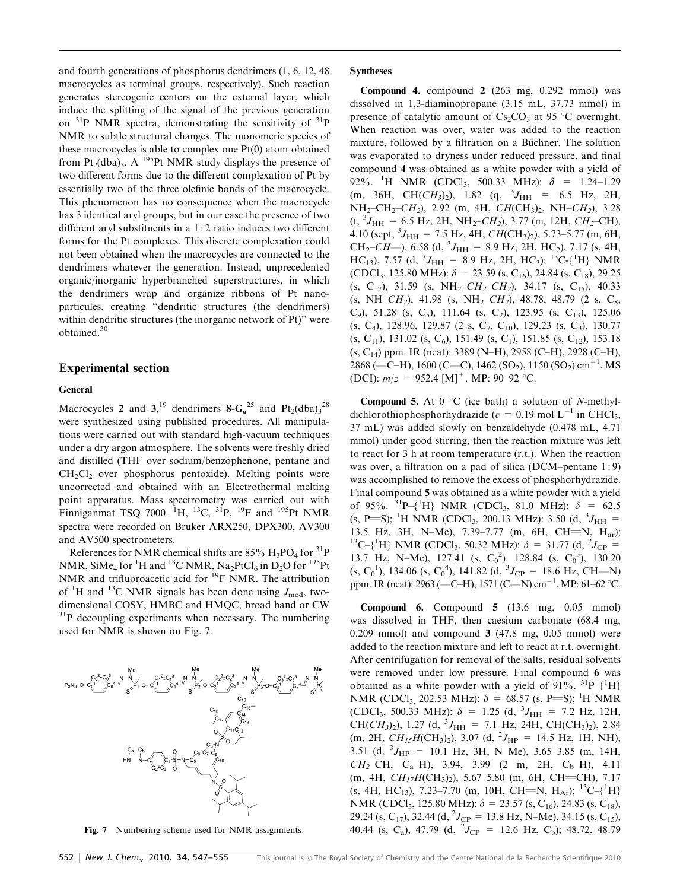and fourth generations of phosphorus dendrimers (1, 6, 12, 48 macrocycles as terminal groups, respectively). Such reaction generates stereogenic centers on the external layer, which induce the splitting of the signal of the previous generation on  $31P$  NMR spectra, demonstrating the sensitivity of  $31P$ NMR to subtle structural changes. The monomeric species of these macrocycles is able to complex one Pt(0) atom obtained from Pt<sub>2</sub>(dba)<sub>3</sub>. A <sup>195</sup>Pt NMR study displays the presence of two different forms due to the different complexation of Pt by essentially two of the three olefinic bonds of the macrocycle. This phenomenon has no consequence when the macrocycle has 3 identical aryl groups, but in our case the presence of two different aryl substituents in a 1 : 2 ratio induces two different forms for the Pt complexes. This discrete complexation could not been obtained when the macrocycles are connected to the dendrimers whatever the generation. Instead, unprecedented organic/inorganic hyperbranched superstructures, in which the dendrimers wrap and organize ribbons of Pt nanoparticules, creating ''dendritic structures (the dendrimers) within dendritic structures (the inorganic network of Pt)'' were obtained.<sup>30</sup>

#### Experimental section

## General

Macrocycles 2 and 3,<sup>19</sup> dendrimers  $8\text{-}G_n^{\,25}$  and  $Pt_2(\text{dba})_3^{\,28}$ were synthesized using published procedures. All manipulations were carried out with standard high-vacuum techniques under a dry argon atmosphere. The solvents were freshly dried and distilled (THF over sodium/benzophenone, pentane and  $CH<sub>2</sub>Cl<sub>2</sub>$  over phosphorus pentoxide). Melting points were uncorrected and obtained with an Electrothermal melting point apparatus. Mass spectrometry was carried out with Finniganmat TSQ 7000. <sup>1</sup>H, <sup>13</sup>C, <sup>31</sup>P, <sup>19</sup>F and <sup>195</sup>Pt NMR spectra were recorded on Bruker ARX250, DPX300, AV300 and AV500 spectrometers.

References for NMR chemical shifts are  $85\%$   $H_3PO_4$  for  $^{31}P$ NMR, SiMe<sub>4</sub> for <sup>1</sup>H and <sup>13</sup>C NMR, Na<sub>2</sub>PtCl<sub>6</sub> in D<sub>2</sub>O for <sup>195</sup>Pt NMR and trifluoroacetic acid for <sup>19</sup>F NMR. The attribution of <sup>1</sup>H and <sup>13</sup>C NMR signals has been done using  $J_{\text{mod}}$ , twodimensional COSY, HMBC and HMQC, broad band or CW  $31P$  decoupling experiments when necessary. The numbering used for NMR is shown on Fig. 7.



Compound 4. compound 2 (263 mg, 0.292 mmol) was dissolved in 1,3-diaminopropane (3.15 mL, 37.73 mmol) in presence of catalytic amount of  $Cs_2CO_3$  at 95 °C overnight. When reaction was over, water was added to the reaction mixture, followed by a filtration on a Büchner. The solution was evaporated to dryness under reduced pressure, and final compound 4 was obtained as a white powder with a yield of 92%. <sup>1</sup>H NMR (CDCl<sub>3</sub>, 500.33 MHz):  $\delta = 1.24{\text -}1.29$  $(m, 36H, CH(CH_3)_2)$ , 1.82  $(q, {}^{3}J_{HH} = 6.5 Hz, 2H$ ,  $NH_2-CH_2-CH_2$ ), 2.92 (m, 4H,  $CH(CH_3)_2$ , NH– $CH_2$ ), 3.28  $(t, {}^{3}J_{\text{HH}} = 6.5 \text{ Hz}, 2\text{H}, \text{NH}_2\text{--}CH_2$ ), 3.77 (m, 12H,  $CH_2\text{--}CH$ ), 4.10 (sept,  ${}^{3}J_{\text{HH}} = 7.5$  Hz, 4H,  $CH(CH_3)_2$ ), 5.73–5.77 (m, 6H, CH<sub>2</sub>-CH=), 6.58 (d,  ${}^{3}J_{\text{HH}}$  = 8.9 Hz, 2H, HC<sub>2</sub>), 7.17 (s, 4H, HC<sub>13</sub>), 7.57 (d, <sup>3</sup> $J_{HH}$  = 8.9 Hz, 2H, HC<sub>3</sub>); <sup>13</sup>C-{<sup>1</sup>H} NMR (CDCl<sub>3</sub>, 125.80 MHz):  $\delta = 23.59$  (s, C<sub>16</sub>), 24.84 (s, C<sub>18</sub>), 29.25 (s, C<sub>17</sub>), 31.59 (s, NH<sub>2</sub>– $CH_2$ – $CH_2$ ), 34.17 (s, C<sub>15</sub>), 40.33 (s, NH–CH<sub>2</sub>), 41.98 (s, NH<sub>2</sub>–CH<sub>2</sub>), 48.78, 48.79 (2 s, C<sub>8</sub>, C<sub>9</sub>), 51.28 (s, C<sub>5</sub>), 111.64 (s, C<sub>2</sub>), 123.95 (s, C<sub>13</sub>), 125.06  $(s, C_4)$ , 128.96, 129.87 (2 s,  $C_7$ ,  $C_{10}$ ), 129.23 (s,  $C_3$ ), 130.77  $(s, C_{11})$ , 131.02  $(s, C_6)$ , 151.49  $(s, C_1)$ , 151.85  $(s, C_{12})$ , 153.18  $(s, C_{14})$  ppm. IR (neat): 3389 (N–H), 2958 (C–H), 2928 (C–H), 2868 (=C-H), 1600 (C=C), 1462 (SO<sub>2</sub>), 1150 (SO<sub>2</sub>) cm<sup>-1</sup>. MS (DCI):  $m/z = 952.4$  [M]<sup>+</sup>. MP: 90–92 °C.

**Compound 5.** At  $0 \degree C$  (ice bath) a solution of N-methyldichlorothiophosphorhydrazide ( $c = 0.19$  mol L<sup>-1</sup> in CHCl<sub>3</sub>, 37 mL) was added slowly on benzaldehyde (0.478 mL, 4.71 mmol) under good stirring, then the reaction mixture was left to react for 3 h at room temperature (r.t.). When the reaction was over, a filtration on a pad of silica (DCM–pentane 1:9) was accomplished to remove the excess of phosphorhydrazide. Final compound 5 was obtained as a white powder with a yield of 95%. <sup>31</sup>P-{<sup>1</sup>H} NMR (CDCl<sub>3</sub>, 81.0 MHz):  $\delta = 62.5$  $(s, P=S);$ <sup>1</sup>H NMR (CDCl<sub>3</sub>, 200.13 MHz): 3.50 (d, <sup>3</sup>J<sub>HH</sub> = 13.5 Hz, 3H, N–Me), 7.39–7.77 (m, 6H, CH=N, H<sub>ar</sub>); <sup>13</sup>C–{<sup>1</sup>H} NMR (CDCl<sub>3</sub>, 50.32 MHz):  $\delta$  = 31.77 (d, <sup>2</sup>J<sub>CP</sub> = 13.7 Hz, N-Me), 127.41 (s,  $C_0^2$ ). 128.84 (s,  $C_0^3$ ), 130.20  $(s, C_0^1)$ , 134.06  $(s, C_0^4)$ , 141.82  $(d, {}^3J_{CP} = 18.6 \text{ Hz}, \text{CH=N})$ ppm. IR (neat):  $2963$  (=C-H), 1571 (C=N) cm<sup>-1</sup>. MP: 61–62 °C.

Compound 6. Compound 5 (13.6 mg, 0.05 mmol) was dissolved in THF, then caesium carbonate (68.4 mg, 0.209 mmol) and compound 3 (47.8 mg, 0.05 mmol) were added to the reaction mixture and left to react at r.t. overnight. After centrifugation for removal of the salts, residual solvents were removed under low pressure. Final compound 6 was obtained as a white powder with a yield of 91%.  ${}^{31}P - {}^{1}H$ } NMR (CDCl<sub>3,</sub> 202.53 MHz):  $\delta = 68.57$  (s, P=S); <sup>1</sup>H NMR (CDCl<sub>3</sub>, 500.33 MHz):  $\delta = 1.25$  (d, <sup>3</sup>J<sub>HH</sub> = 7.2 Hz, 12H, CH( $CH_3$ )<sub>2</sub>), 1.27 (d, <sup>3</sup> $J_{HH}$  = 7.1 Hz, 24H, CH(CH<sub>3</sub>)<sub>2</sub>), 2.84  $(m, 2H, CH_{15}H(CH_3)_2)$ , 3.07 (d,  $^{2}J_{HP} = 14.5$  Hz, 1H, NH), 3.51 (d,  ${}^{3}J_{\text{HP}}$  = 10.1 Hz, 3H, N-Me), 3.65-3.85 (m, 14H,  $CH_2$ –CH, C<sub>a</sub>–H), 3.94, 3.99 (2 m, 2H, C<sub>b</sub>–H), 4.11 (m, 4H,  $CH_{17}H(CH_3)_2$ ), 5.67–5.80 (m, 6H, CH=CH), 7.17  $(s, 4H, HC_{13}), 7.23-7.70$  (m, 10H, CH=N, H<sub>Ar</sub>); <sup>13</sup>C-{<sup>1</sup>H} NMR (CDCl<sub>3</sub>, 125.80 MHz):  $\delta = 23.57$  (s, C<sub>16</sub>), 24.83 (s, C<sub>18</sub>), 29.24 (s, C<sub>17</sub>), 32.44 (d, <sup>2</sup>J<sub>CP</sub> = 13.8 Hz, N–Me), 34.15 (s, C<sub>15</sub>), Fig. 7 Numbering scheme used for NMR assignments.  $40.44$  (s, C<sub>a</sub>), 47.79 (d, <sup>2</sup>J<sub>CP</sub> = 12.6 Hz, C<sub>b</sub>); 48.72, 48.79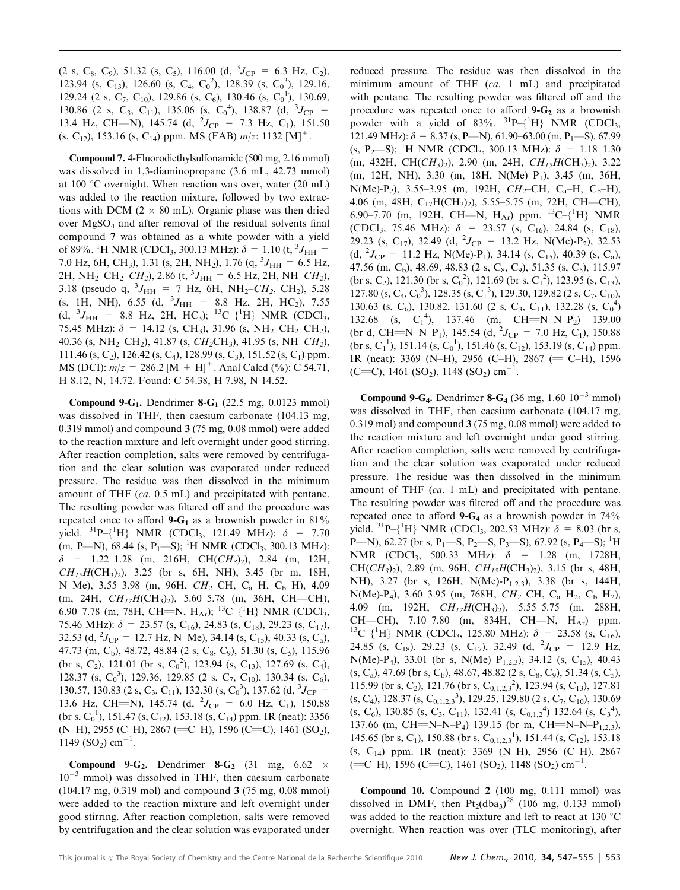(2 s, C<sub>8</sub>, C<sub>9</sub>), 51.32 (s, C<sub>5</sub>), 116.00 (d, <sup>3</sup>J<sub>CP</sub> = 6.3 Hz, C<sub>2</sub>), 123.94 (s, C<sub>13</sub>), 126.60 (s, C<sub>4</sub>, C<sub>0</sub><sup>2</sup>), 128.39 (s, C<sub>0</sub><sup>3</sup>), 129.16, 129.24 (2 s, C<sub>7</sub>, C<sub>10</sub>), 129.86 (s, C<sub>6</sub>), 130.46 (s, C<sub>0</sub><sup>1</sup>), 130.69, 130.86 (2 s, C<sub>3</sub>, C<sub>11</sub>), 135.06 (s, C<sub>0</sub><sup>4</sup>), 138.87 (d, <sup>3</sup>J<sub>CP</sub> = 13.4 Hz, CH=N), 145.74 (d,  ${}^{2}J_{CP}$  = 7.3 Hz, C<sub>1</sub>), 151.50 (s, C<sub>12</sub>), 153.16 (s, C<sub>14</sub>) ppm. MS (FAB)  $m/z$ : 1132 [M]<sup>+</sup>.

Compound 7. 4-Fluorodiethylsulfonamide (500 mg, 2.16 mmol) was dissolved in 1,3-diaminopropane (3.6 mL, 42.73 mmol) at 100 °C overnight. When reaction was over, water (20 mL) was added to the reaction mixture, followed by two extractions with DCM ( $2 \times 80$  mL). Organic phase was then dried over MgSO4 and after removal of the residual solvents final compound 7 was obtained as a white powder with a yield of 89%. <sup>1</sup>H NMR (CDCl<sub>3</sub>, 300.13 MHz):  $\delta = 1.10$  (t, <sup>3</sup>J<sub>HH</sub> = 7.0 Hz, 6H, CH<sub>3</sub>), 1.31 (s, 2H, NH<sub>2</sub>), 1.76 (q, <sup>3</sup> $J_{HH} = 6.5$  Hz, 2H, NH<sub>2</sub>-CH<sub>2</sub>-CH<sub>2</sub>), 2.86 (t, <sup>3</sup>J<sub>HH</sub> = 6.5 Hz, 2H, NH–CH<sub>2</sub>), 3.18 (pseudo q,  ${}^{3}J_{\text{HH}}$  = 7 Hz, 6H, NH<sub>2</sub>-CH<sub>2</sub>, CH<sub>2</sub>), 5.28 (s, 1H, NH), 6.55 (d,  $^{3}J_{\text{HH}}$  = 8.8 Hz, 2H, HC<sub>2</sub>), 7.55 (d,  ${}^{3}J_{\text{HH}}$  = 8.8 Hz, 2H, HC<sub>3</sub>); <sup>13</sup>C-{<sup>1</sup>H} NMR (CDCl<sub>3</sub>, 75.45 MHz):  $\delta = 14.12$  (s, CH<sub>3</sub>), 31.96 (s, NH<sub>2</sub>-CH<sub>2</sub>-CH<sub>2</sub>), 40.36 (s, NH<sub>2</sub>–CH<sub>2</sub>), 41.87 (s, CH<sub>2</sub>CH<sub>3</sub>), 41.95 (s, NH–CH<sub>2</sub>), 111.46 (s, C<sub>2</sub>), 126.42 (s, C<sub>4</sub>), 128.99 (s, C<sub>3</sub>), 151.52 (s, C<sub>1</sub>) ppm. MS (DCI):  $m/z = 286.2$  [M + H]<sup>+</sup>. Anal Calcd (%): C 54.71, H 8.12, N, 14.72. Found: C 54.38, H 7.98, N 14.52.

Compound 9- $G_1$ . Dendrimer 8- $G_1$  (22.5 mg, 0.0123 mmol) was dissolved in THF, then caesium carbonate (104.13 mg, 0.319 mmol) and compound 3 (75 mg, 0.08 mmol) were added to the reaction mixture and left overnight under good stirring. After reaction completion, salts were removed by centrifugation and the clear solution was evaporated under reduced pressure. The residue was then dissolved in the minimum amount of THF (ca. 0.5 mL) and precipitated with pentane. The resulting powder was filtered off and the procedure was repeated once to afford 9- $G_1$  as a brownish powder in 81% yield.  ${}^{31}P - {}^{1}H$  NMR (CDCl<sub>3</sub>, 121.49 MHz):  $\delta = 7.70$  $(m, P=N)$ , 68.44 (s, P<sub>1</sub>=S); <sup>1</sup>H NMR (CDCl<sub>3</sub>, 300.13 MHz):  $\delta$  = 1.22–1.28 (m, 216H, CH(CH<sub>3</sub>)<sub>2</sub>), 2.84 (m, 12H,  $CH_{15}H(CH_3)_2$ ), 3.25 (br s, 6H, NH), 3.45 (br m, 18H, N–Me), 3.55–3.98 (m, 96H,  $CH_2$ –CH, C<sub>a</sub>–H, C<sub>b</sub>–H), 4.09  $(m, 24H, CH_{17}H(CH_3)_2)$ , 5.60–5.78  $(m, 36H, CH=CH)$ , 6.90–7.78 (m, 78H, CH=N,  $H_{Ar}$ ); <sup>13</sup>C-{<sup>1</sup>H} NMR (CDCl<sub>3</sub>, 75.46 MHz):  $\delta = 23.57$  (s, C<sub>16</sub>), 24.83 (s, C<sub>18</sub>), 29.23 (s, C<sub>17</sub>), 32.53 (d, <sup>2</sup> $J_{\rm CP}$  = 12.7 Hz, N–Me), 34.14 (s, C<sub>15</sub>), 40.33 (s, C<sub>a</sub>), 47.73 (m, C<sub>b</sub>), 48.72, 48.84 (2 s, C<sub>8</sub>, C<sub>9</sub>), 51.30 (s, C<sub>5</sub>), 115.96 (br s, C<sub>2</sub>), 121.01 (br s, C<sub>0</sub><sup>2</sup>), 123.94 (s, C<sub>13</sub>), 127.69 (s, C<sub>4</sub>), 128.37 (s,  $C_0^3$ ), 129.36, 129.85 (2 s,  $C_7$ ,  $C_{10}$ ), 130.34 (s,  $C_6$ ), 130.57, 130.83 (2 s, C<sub>3</sub>, C<sub>11</sub>), 132.30 (s, C<sub>0</sub><sup>3</sup>), 137.62 (d, <sup>3</sup>J<sub>CP</sub> = 13.6 Hz, CH=N), 145.74 (d,  ${}^{2}J_{CP} = 6.0$  Hz, C<sub>1</sub>), 150.88  $(br s, C_0^1)$ , 151.47  $(s, C_{12})$ , 153.18  $(s, C_{14})$  ppm. IR (neat): 3356  $(N-H)$ , 2955 (C–H), 2867 (=C–H), 1596 (C=C), 1461 (SO<sub>2</sub>),  $1149$  (SO<sub>2</sub>) cm<sup>-1</sup>.

Compound 9-G<sub>2</sub>. Dendrimer 8-G<sub>2</sub> (31 mg,  $6.62 \times$  $10^{-3}$  mmol) was dissolved in THF, then caesium carbonate (104.17 mg, 0.319 mol) and compound 3 (75 mg, 0.08 mmol) were added to the reaction mixture and left overnight under good stirring. After reaction completion, salts were removed by centrifugation and the clear solution was evaporated under

reduced pressure. The residue was then dissolved in the minimum amount of THF (ca. 1 mL) and precipitated with pentane. The resulting powder was filtered off and the procedure was repeated once to afford  $9 - G_2$  as a brownish powder with a yield of  $83\%$ .  ${}^{31}P-{}^{1}H$  NMR (CDCl<sub>3</sub>, 121.49 MHz):  $\delta = 8.37$  (s, P=N), 61.90–63.00 (m, P<sub>1</sub>=S), 67.99 (s, P<sub>2</sub>=S); <sup>1</sup>H NMR (CDCl<sub>3</sub>, 300.13 MHz):  $\delta = 1.18-1.30$ (m, 432H, CH( $CH_3$ )<sub>2</sub>), 2.90 (m, 24H,  $CH_1<sub>5</sub>H(CH_3)$ <sub>2</sub>), 3.22 (m, 12H, NH), 3.30 (m, 18H, N(Me)–P1), 3.45 (m, 36H, N(Me)-P<sub>2</sub>), 3.55–3.95 (m, 192H,  $CH_2$ –CH, C<sub>a</sub>–H, C<sub>b</sub>–H), 4.06 (m, 48H,  $C_{17}H(CH_3)_2$ ), 5.55–5.75 (m, 72H, CH=CH), 6.90–7.70 (m, 192H, CH=N,  $H_{Ar}$ ) ppm. <sup>13</sup>C-{<sup>1</sup>H} NMR (CDCl<sub>3</sub>, 75.46 MHz):  $\delta$  = 23.57 (s, C<sub>16</sub>), 24.84 (s, C<sub>18</sub>), 29.23 (s, C<sub>17</sub>), 32.49 (d, <sup>2</sup>J<sub>CP</sub> = 13.2 Hz, N(Me)-P<sub>2</sub>), 32.53  $(d, {}^{2}J_{CP} = 11.2 \text{ Hz}, \text{ N}(\text{Me}) - \text{P}_1), 34.14 \text{ (s, C<sub>15</sub>), 40.39 \text{ (s, C<sub>a</sub>),}$ 47.56 (m, C<sub>b</sub>), 48.69, 48.83 (2 s, C<sub>8</sub>, C<sub>9</sub>), 51.35 (s, C<sub>5</sub>), 115.97  $(br s, C_2)$ , 121.30 (br s,  $C_0^2$ ), 121.69 (br s,  $C_1^2$ ), 123.95 (s,  $C_{13}$ ), 127.80 (s, C<sub>4</sub>, C<sub>0</sub><sup>3</sup>), 128.35 (s, C<sub>1</sub><sup>3</sup>), 129.30, 129.82 (2 s, C<sub>7</sub>, C<sub>10</sub>), 130.63 (s, C<sub>6</sub>), 130.82, 131.60 (2 s, C<sub>3</sub>, C<sub>11</sub>), 132.28 (s, C<sub>0</sub><sup>4</sup>) 132.68 (s,  $C_1^4$ ), 137.46 (m, CH=N-N-P<sub>2</sub>) 139.00 (br d, CH=N–N–P<sub>1</sub>), 145.54 (d, <sup>2</sup> $J_{CP}$  = 7.0 Hz, C<sub>1</sub>), 150.88  $(br s, C_1^1)$ , 151.14  $(s, C_0^1)$ , 151.46  $(s, C_{12})$ , 153.19  $(s, C_{14})$  ppm. IR (neat): 3369 (N–H), 2956 (C–H), 2867 (= C–H), 1596  $(C=C)$ , 1461 (SO<sub>2</sub>), 1148 (SO<sub>2</sub>) cm<sup>-1</sup>.

**Compound 9-G<sub>4</sub>.** Dendrimer **8-G<sub>4</sub>** (36 mg, 1.60  $10^{-3}$  mmol) was dissolved in THF, then caesium carbonate (104.17 mg, 0.319 mol) and compound 3 (75 mg, 0.08 mmol) were added to the reaction mixture and left overnight under good stirring. After reaction completion, salts were removed by centrifugation and the clear solution was evaporated under reduced pressure. The residue was then dissolved in the minimum amount of THF (ca. 1 mL) and precipitated with pentane. The resulting powder was filtered off and the procedure was repeated once to afford  $9 - G_4$  as a brownish powder in 74% yield. <sup>31</sup>P–{<sup>1</sup>H} NMR (CDCl<sub>3</sub>, 202.53 MHz):  $\delta = 8.03$  (br s, P=N), 62.27 (br s, P<sub>1</sub>=S, P<sub>2</sub>=S, P<sub>3</sub>=S), 67.92 (s, P<sub>4</sub>=S); <sup>1</sup>H NMR (CDCl<sub>3</sub>, 500.33 MHz):  $\delta = 1.28$  (m, 1728H, CH( $CH_3$ )<sub>2</sub>), 2.89 (m, 96H,  $CH_{15}H(CH_3)_{2}$ ), 3.15 (br s, 48H, NH), 3.27 (br s, 126H, N(Me)-P<sub>1,2,3</sub>), 3.38 (br s, 144H, N(Me)-P<sub>4</sub>), 3.60–3.95 (m, 768H,  $CH_2$ –CH, C<sub>a</sub>–H<sub>2</sub>, C<sub>b</sub>–H<sub>2</sub>), 4.09 (m, 192H,  $CH_{17}H(CH_3)$ ), 5.55–5.75 (m, 288H, CH=CH), 7.10–7.80 (m, 834H, CH=N, H<sub>Ar</sub>) ppm. <sup>13</sup>C–{<sup>1</sup>H} NMR (CDCl<sub>3</sub>, 125.80 MHz):  $\delta$  = 23.58 (s, C<sub>16</sub>), 24.85 (s, C<sub>18</sub>), 29.23 (s, C<sub>17</sub>), 32.49 (d, <sup>2</sup>J<sub>CP</sub> = 12.9 Hz, N(Me)-P<sub>4</sub>), 33.01 (br s, N(Me)-P<sub>1,2,3</sub>), 34.12 (s, C<sub>15</sub>), 40.43  $(s, C_a)$ , 47.69 (br s, C<sub>b</sub>), 48.67, 48.82 (2 s, C<sub>8</sub>, C<sub>9</sub>), 51.34 (s, C<sub>5</sub>), 115.99 (br s, C<sub>2</sub>), 121.76 (br s, C<sub>0,1,2,3</sub><sup>2</sup>), 123.94 (s, C<sub>13</sub>), 127.81  $(s, C_4)$ , 128.37  $(s, C_{0,1,2,3}^{3})$ , 129.25, 129.80 (2 s, C<sub>7</sub>, C<sub>10</sub>), 130.69  $(s, C_6)$ , 130.85  $(s, C_3, C_{11})$ , 132.41  $(s, C_{0,1,2}^4)$  132.64  $(s, C_3^4)$ , 137.66 (m, CH $=$ N–N–P<sub>4</sub>) 139.15 (br m, CH $=$ N–N–P<sub>1,2,3</sub>), 145.65 (br s, C<sub>1</sub>), 150.88 (br s, C<sub>0,1,2,3</sub><sup>1</sup>), 151.44 (s, C<sub>12</sub>), 153.18 (s, C14) ppm. IR (neat): 3369 (N–H), 2956 (C–H), 2867  $(=C-H)$ , 1596 (C=C), 1461 (SO<sub>2</sub>), 1148 (SO<sub>2</sub>) cm<sup>-1</sup>.

Compound 10. Compound 2 (100 mg, 0.111 mmol) was dissolved in DMF, then  $Pt_2$ (dba<sub>3</sub>)<sup>28</sup> (106 mg, 0.133 mmol) was added to the reaction mixture and left to react at 130  $^{\circ}$ C overnight. When reaction was over (TLC monitoring), after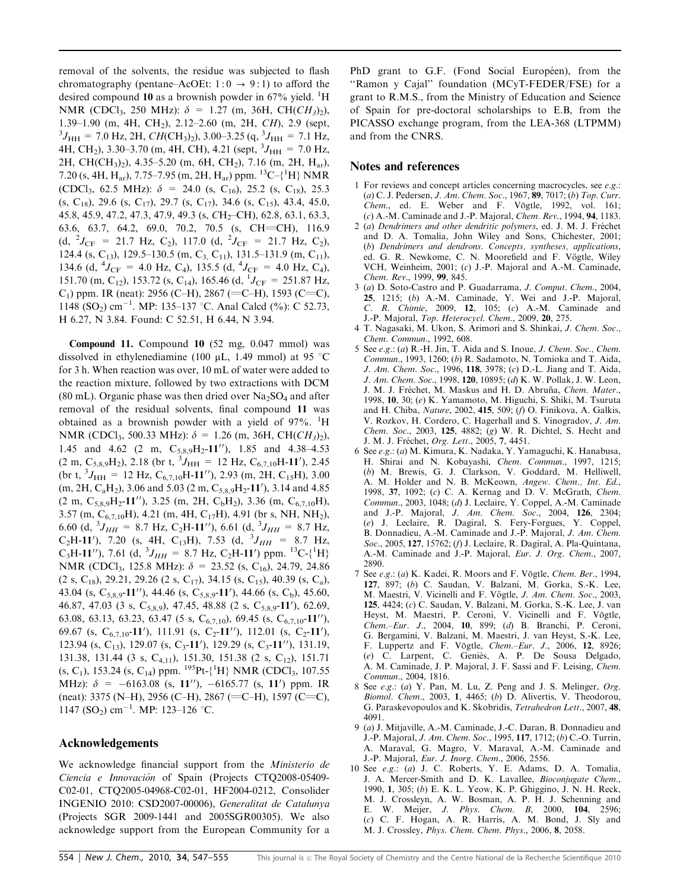removal of the solvents, the residue was subjected to flash chromatography (pentane–AcOEt:  $1:0 \rightarrow 9:1$ ) to afford the desired compound 10 as a brownish powder in 67% yield. <sup>1</sup>H NMR (CDCl<sub>3</sub>, 250 MHz):  $\delta = 1.27$  (m, 36H, CH(CH<sub>3</sub>)<sub>2</sub>), 1.39–1.90 (m, 4H, CH<sub>2</sub>), 2.12–2.60 (m, 2H, CH), 2.9 (sept,  $J_{\text{HH}}$  = 7.0 Hz, 2H, CH(CH<sub>3</sub>)<sub>2</sub>), 3.00–3.25 (q, <sup>3</sup> $J_{\text{HH}}$  = 7.1 Hz, 4H, CH<sub>2</sub>), 3.30–3.70 (m, 4H, CH), 4.21 (sept,  ${}^{3}J_{\text{HH}} = 7.0 \text{ Hz}$ , 2H, CH(CH<sub>3</sub>)<sub>2</sub>), 4.35–5.20 (m, 6H, CH<sub>2</sub>), 7.16 (m, 2H, H<sub>ar</sub>), 7.20 (s, 4H, H<sub>ar</sub>), 7.75–7.95 (m, 2H, H<sub>ar</sub>) ppm. <sup>13</sup>C-{<sup>1</sup>H} NMR (CDCl<sub>3</sub>, 62.5 MHz):  $\delta$  = 24.0 (s, C<sub>16</sub>), 25.2 (s, C<sub>18</sub>), 25.3  $(S, C_{18})$ , 29.6  $(S, C_{17})$ , 29.7  $(S, C_{17})$ , 34.6  $(S, C_{15})$ , 43.4, 45.0, 45.8, 45.9, 47.2, 47.3, 47.9, 49.3 (s, CH<sub>2</sub>-CH), 62.8, 63.1, 63.3, 63.6, 63.7, 64.2, 69.0, 70.2, 70.5 (s, CH=CH), 116.9 (d,  ${}^{2}J_{\text{CF}}$  = 21.7 Hz, C<sub>2</sub>), 117.0 (d,  ${}^{2}J_{\text{CF}}$  = 21.7 Hz, C<sub>2</sub>), 124.4 (s, C<sub>13</sub>), 129.5–130.5 (m, C<sub>3</sub>, C<sub>11</sub>), 131.5–131.9 (m, C<sub>11</sub>), 134.6 (d,  ${}^{4}J_{\text{CF}} = 4.0$  Hz, C<sub>4</sub>), 135.5 (d,  ${}^{4}J_{\text{CF}} = 4.0$  Hz, C<sub>4</sub>), 151.70 (m, C<sub>12</sub>), 153.72 (s, C<sub>14</sub>), 165.46 (d, <sup>1</sup>J<sub>CF</sub> = 251.87 Hz, C<sub>1</sub>) ppm. IR (neat): 2956 (C–H), 2867 (=C–H), 1593 (C=C), 1148 (SO<sub>2</sub>) cm<sup>-1</sup>. MP: 135-137 °C. Anal Calcd (%): C 52.73, H 6.27, N 3.84. Found: C 52.51, H 6.44, N 3.94.

Compound 11. Compound 10 (52 mg, 0.047 mmol) was dissolved in ethylenediamine (100  $\mu$ L, 1.49 mmol) at 95 °C for 3 h. When reaction was over, 10 mL of water were added to the reaction mixture, followed by two extractions with DCM (80 mL). Organic phase was then dried over  $Na<sub>2</sub>SO<sub>4</sub>$  and after removal of the residual solvents, final compound 11 was obtained as a brownish powder with a yield of  $97\%$ . <sup>1</sup>H NMR (CDCl<sub>3</sub>, 500.33 MHz):  $\delta = 1.26$  (m, 36H, CH(CH<sub>3</sub>)<sub>2</sub>), 1.45 and 4.62 (2 m,  $C_{5,8,9}H_2-11''$ ), 1.85 and 4.38-4.53  $(2 \text{ m}, \text{C}_{5,8,9} \text{H}_2)$ , 2.18 (br t,  ${}^3J_{\text{HH}} = 12 \text{ Hz}, \text{C}_{6,7,10} \text{H-11}$ '), 2.45 (br t,  ${}^{3}J_{\text{HH}}$  = 12 Hz, C<sub>6,7,10</sub>H-11''), 2.93 (m, 2H, C<sub>15</sub>H), 3.00  $(m, 2H, C<sub>a</sub>H<sub>2</sub>)$ , 3.06 and 5.03 (2 m,  $C<sub>5,8,9</sub>H<sub>2</sub>$ -11'), 3.14 and 4.85  $(2 \text{ m}, \text{C}_{5,8,9}H_2 \text{-}11'')$ , 3.25 (m, 2H, C<sub>b</sub>H<sub>2</sub>), 3.36 (m, C<sub>6,7,10</sub>H), 3.57 (m,  $C_{6,7,10}H$ ), 4.21 (m, 4H,  $C_{17}H$ ), 4.91 (br s, NH, NH<sub>2</sub>), 6.60 (d,  ${}^{3}J_{HH}$  = 8.7 Hz, C<sub>2</sub>H-11''), 6.61 (d,  ${}^{3}J_{HH}$  = 8.7 Hz, C<sub>2</sub>H-11'), 7.20 (s, 4H, C<sub>13</sub>H), 7.53 (d, <sup>3</sup>J<sub>HH</sub> = 8.7 Hz, C<sub>3</sub>H-11''), 7.61 (d,  ${}^{3}J_{HH}$  = 8.7 Hz, C<sub>2</sub>H-11') ppm. <sup>13</sup>C-{<sup>1</sup>H} NMR (CDCl<sub>3</sub>, 125.8 MHz):  $\delta$  = 23.52 (s, C<sub>16</sub>), 24.79, 24.86  $(2 \text{ s}, C_{18})$ , 29.21, 29.26  $(2 \text{ s}, C_{17})$ , 34.15  $(s, C_{15})$ , 40.39  $(s, C_a)$ , 43.04 (s,  $C_{5,8,9}$ -11''), 44.46 (s,  $C_{5,8,9}$ -11'), 44.66 (s,  $C_b$ ), 45.60, 46.87, 47.03 (3 s, C<sub>5,8,9</sub>), 47.45, 48.88 (2 s, C<sub>5,8,9</sub>-11'), 62.69, 63.08, 63.13, 63.23, 63.47 (5 s,  $C_{6,7,10}$ ), 69.45 (s,  $C_{6,7,10}$ -11''), 69.67 (s,  $C_{6,7,10}$ -11'), 111.91 (s, C<sub>2</sub>-11''), 112.01 (s, C<sub>2</sub>-11'), 123.94 (s, C<sub>13</sub>), 129.07 (s, C<sub>3</sub>-11'), 129.29 (s, C<sub>3</sub>-11''), 131.19, 131.38, 131.44 (3 s,  $C_{4,11}$ ), 151.30, 151.38 (2 s,  $C_{12}$ ), 151.71  $(s, C_1)$ , 153.24  $(s, C_{14})$  ppm. <sup>195</sup>Pt- ${^1H}$ } NMR (CDCl<sub>3</sub>, 107.55 MHz):  $\delta = -6163.08$  (s, 11''),  $-6165.77$  (s, 11') ppm. IR (neat): 3375 (N–H), 2956 (C–H), 2867 (=C–H), 1597 (C=C), 1147 (SO<sub>2</sub>) cm<sup>-1</sup>. MP: 123-126 °C.

## Acknowledgements

We acknowledge financial support from the *Ministerio de* Ciencia e Innovación of Spain (Projects CTQ2008-05409-C02-01, CTQ2005-04968-C02-01, HF2004-0212, Consolider INGENIO 2010: CSD2007-00006), Generalitat de Catalunya (Projects SGR 2009-1441 and 2005SGR00305). We also acknowledge support from the European Community for a

PhD grant to G.F. (Fond Social Européen), from the ''Ramon y Cajal'' foundation (MCyT-FEDER/FSE) for a grant to R.M.S., from the Ministry of Education and Science of Spain for pre-doctoral scholarships to E.B, from the PICASSO exchange program, from the LEA-368 (LTPMM) and from the CNRS.

### Notes and references

- 1 For reviews and concept articles concerning macrocycles, see e.g.: (a) C. J. Pedersen, J. Am. Chem. Soc., 1967, 89, 7017; (b) Top. Curr. Chem., ed. E. Weber and F. Vögtle, 1992, vol. 161; (c) A.-M. Caminade and J.-P. Majoral, Chem. Rev., 1994, 94, 1183.
- 2 (a) Dendrimers and other dendritic polymers, ed. J. M. J. Fréchet and D. A. Tomalia, John Wiley and Sons, Chichester, 2001; (b) Dendrimers and dendrons. Concepts, syntheses, applications, ed. G. R. Newkome, C. N. Moorefield and F. Vögtle, Wiley VCH, Weinheim, 2001; (c) J.-P. Majoral and A.-M. Caminade, Chem. Rev., 1999, 99, 845.
- 3 (a) D. Soto-Castro and P. Guadarrama, J. Comput. Chem., 2004, 25, 1215; (b) A.-M. Caminade, Y. Wei and J.-P. Majoral, C. R. Chimie, 2009, 12, 105; (c) A.-M. Caminade and J.-P. Majoral, Top. Heterocycl. Chem., 2009, 20, 275.
- 4 T. Nagasaki, M. Ukon, S. Arimori and S. Shinkai, J. Chem. Soc., Chem. Commun., 1992, 608.
- 5 See e.g.: (a) R.-H. Jin, T. Aida and S. Inoue, J. Chem. Soc., Chem. Commun., 1993, 1260; (b) R. Sadamoto, N. Tomioka and T. Aida, J. Am. Chem. Soc., 1996, 118, 3978; (c) D.-L. Jiang and T. Aida, J. Am. Chem. Soc., 1998, 120, 10895; (d) K. W. Pollak, J. W. Leon, J. M. J. Fréchet, M. Maskus and H. D. Abruña, Chem. Mater., 1998, 10, 30; (e) K. Yamamoto, M. Higuchi, S. Shiki, M. Tsuruta and H. Chiba, Nature, 2002, 415, 509; (f) O. Finikova, A. Galkis, V. Rozkov, H. Cordero, C. Hagerhall and S. Vinogradov, J. Am. Chem. Soc., 2003, 125, 4882; (g) W. R. Dichtel, S. Hecht and J. M. J. Fréchet, Org. Lett., 2005, 7, 4451.
- 6 See e.g.: (a) M. Kimura, K. Nadaka, Y. Yamaguchi, K. Hanabusa, H. Shirai and N. Kobayashi, Chem. Commun., 1997, 1215; (b) M. Brewis, G. J. Clarkson, V. Goddard, M. Helliwell, A. M. Holder and N. B. McKeown, Angew. Chem., Int. Ed., 1998, 37, 1092; (c) C. A. Kernag and D. V. McGrath, Chem. Commun., 2003, 1048; (d) J. Leclaire, Y. Coppel, A.-M. Caminade and J.-P. Majoral, J. Am. Chem. Soc., 2004, 126, 2304; (e) J. Leclaire, R. Dagiral, S. Fery-Forgues, Y. Coppel, B. Donnadieu, A.-M. Caminade and J.-P. Majoral, J. Am. Chem. Soc., 2005, 127, 15762; (f) J. Leclaire, R. Dagiral, A. Pla-Quintana, A.-M. Caminade and J.-P. Majoral, Eur. J. Org. Chem., 2007, 2890.
- 7 See  $e.g.: (a)$  K. Kadei, R. Moors and F. Vögtle, Chem. Ber., 1994, 127, 897; (b) C. Saudan, V. Balzani, M. Gorka, S.-K. Lee, M. Maestri, V. Vicinelli and F. Vögtle, J. Am. Chem. Soc., 2003, 125, 4424; (c) C. Saudan, V. Balzani, M. Gorka, S.-K. Lee, J. van Heyst, M. Maestri, P. Ceroni, V. Vicinelli and F. Vögtle, Chem.–Eur. J., 2004, 10, 899; (d) B. Branchi, P. Ceroni, G. Bergamini, V. Balzani, M. Maestri, J. van Heyst, S.-K. Lee, F. Luppertz and F. Vögtle, Chem.–Eur. J., 2006, 12, 8926; (e) C. Larpent, C. Genie`s, A. P. De Sousa Delgado, A. M. Caminade, J. P. Majoral, J. F. Sassi and F. Leising, Chem. Commun., 2004, 1816.
- 8 See e.g.: (a) Y. Pan, M. Lu, Z. Peng and J. S. Melinger, Org. Biomol. Chem., 2003, 1, 4465; (b) D. Alivertis, V. Theodorou, G. Paraskevopoulos and K. Skobridis, Tetrahedron Lett., 2007, 48, 4091.
- 9 (a) J. Mitjaville, A.-M. Caminade, J.-C. Daran, B. Donnadieu and J.-P. Majoral, J. Am. Chem. Soc., 1995, 117, 1712; (b) C.-O. Turrin, A. Maraval, G. Magro, V. Maraval, A.-M. Caminade and J.-P. Majoral, Eur. J. Inorg. Chem., 2006, 2556.
- 10 See e.g.: (a) J. C. Roberts, Y. E. Adams, D. A. Tomalia, J. A. Mercer-Smith and D. K. Lavallee, Bioconjugate Chem., 1990, 1, 305; (b) E. K. L. Yeow, K. P. Ghiggino, J. N. H. Reck, M. J. Crossleyn, A. W. Bosman, A. P. H. J. Schenning and E. W. Meijer, J. Phys. Chem. B, 2000, 104, 2596; (c) C. F. Hogan, A. R. Harris, A. M. Bond, J. Sly and M. J. Crossley, Phys. Chem. Chem. Phys., 2006, 8, 2058.